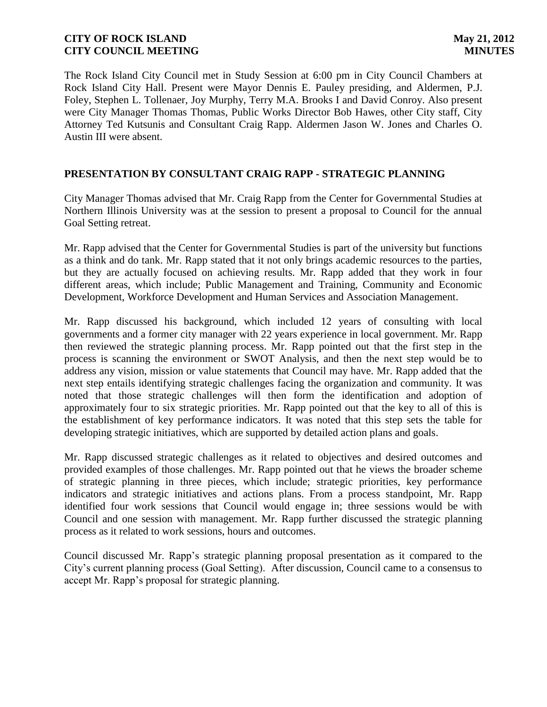The Rock Island City Council met in Study Session at 6:00 pm in City Council Chambers at Rock Island City Hall. Present were Mayor Dennis E. Pauley presiding, and Aldermen, P.J. Foley, Stephen L. Tollenaer, Joy Murphy, Terry M.A. Brooks I and David Conroy. Also present were City Manager Thomas Thomas, Public Works Director Bob Hawes, other City staff, City Attorney Ted Kutsunis and Consultant Craig Rapp. Aldermen Jason W. Jones and Charles O. Austin III were absent.

## **PRESENTATION BY CONSULTANT CRAIG RAPP - STRATEGIC PLANNING**

City Manager Thomas advised that Mr. Craig Rapp from the Center for Governmental Studies at Northern Illinois University was at the session to present a proposal to Council for the annual Goal Setting retreat.

Mr. Rapp advised that the Center for Governmental Studies is part of the university but functions as a think and do tank. Mr. Rapp stated that it not only brings academic resources to the parties, but they are actually focused on achieving results. Mr. Rapp added that they work in four different areas, which include; Public Management and Training, Community and Economic Development, Workforce Development and Human Services and Association Management.

Mr. Rapp discussed his background, which included 12 years of consulting with local governments and a former city manager with 22 years experience in local government. Mr. Rapp then reviewed the strategic planning process. Mr. Rapp pointed out that the first step in the process is scanning the environment or SWOT Analysis, and then the next step would be to address any vision, mission or value statements that Council may have. Mr. Rapp added that the next step entails identifying strategic challenges facing the organization and community. It was noted that those strategic challenges will then form the identification and adoption of approximately four to six strategic priorities. Mr. Rapp pointed out that the key to all of this is the establishment of key performance indicators. It was noted that this step sets the table for developing strategic initiatives, which are supported by detailed action plans and goals.

Mr. Rapp discussed strategic challenges as it related to objectives and desired outcomes and provided examples of those challenges. Mr. Rapp pointed out that he views the broader scheme of strategic planning in three pieces, which include; strategic priorities, key performance indicators and strategic initiatives and actions plans. From a process standpoint, Mr. Rapp identified four work sessions that Council would engage in; three sessions would be with Council and one session with management. Mr. Rapp further discussed the strategic planning process as it related to work sessions, hours and outcomes.

Council discussed Mr. Rapp's strategic planning proposal presentation as it compared to the City's current planning process (Goal Setting). After discussion, Council came to a consensus to accept Mr. Rapp's proposal for strategic planning.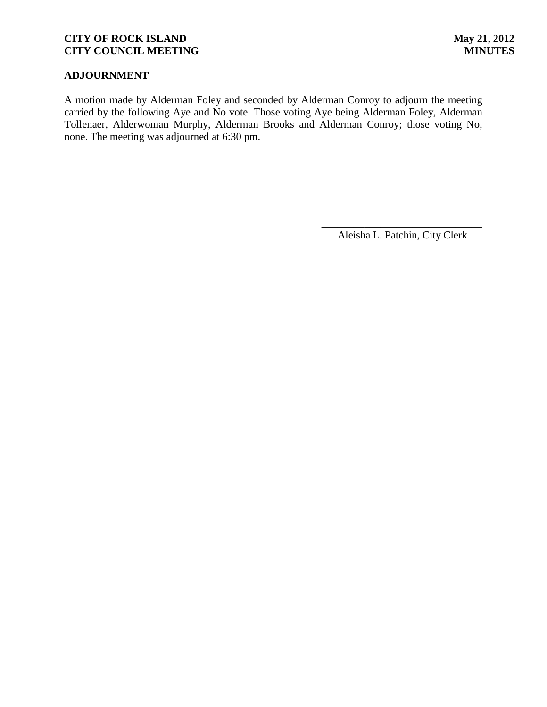### **ADJOURNMENT**

A motion made by Alderman Foley and seconded by Alderman Conroy to adjourn the meeting carried by the following Aye and No vote. Those voting Aye being Alderman Foley, Alderman Tollenaer, Alderwoman Murphy, Alderman Brooks and Alderman Conroy; those voting No, none. The meeting was adjourned at 6:30 pm.

> \_\_\_\_\_\_\_\_\_\_\_\_\_\_\_\_\_\_\_\_\_\_\_\_\_\_\_\_\_\_ Aleisha L. Patchin, City Clerk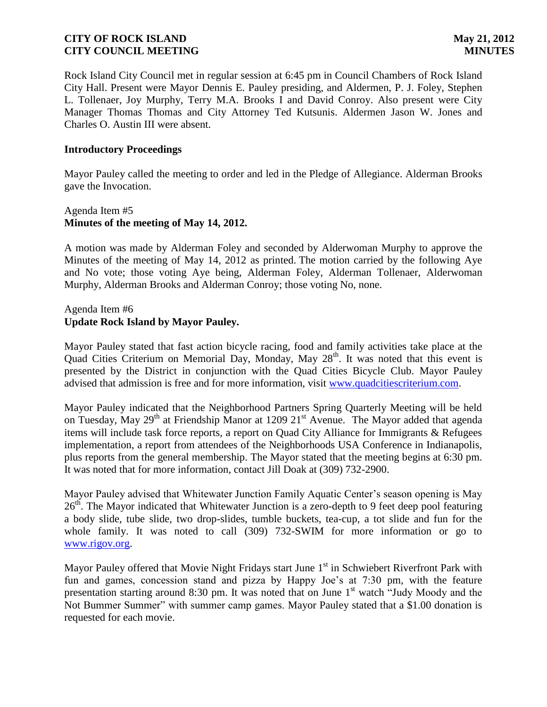Rock Island City Council met in regular session at 6:45 pm in Council Chambers of Rock Island City Hall. Present were Mayor Dennis E. Pauley presiding, and Aldermen, P. J. Foley, Stephen L. Tollenaer, Joy Murphy, Terry M.A. Brooks I and David Conroy. Also present were City Manager Thomas Thomas and City Attorney Ted Kutsunis. Aldermen Jason W. Jones and Charles O. Austin III were absent.

#### **Introductory Proceedings**

Mayor Pauley called the meeting to order and led in the Pledge of Allegiance. Alderman Brooks gave the Invocation.

# Agenda Item #5 **Minutes of the meeting of May 14, 2012.**

A motion was made by Alderman Foley and seconded by Alderwoman Murphy to approve the Minutes of the meeting of May 14, 2012 as printed. The motion carried by the following Aye and No vote; those voting Aye being, Alderman Foley, Alderman Tollenaer, Alderwoman Murphy, Alderman Brooks and Alderman Conroy; those voting No, none.

# Agenda Item #6 **Update Rock Island by Mayor Pauley.**

Mayor Pauley stated that fast action bicycle racing, food and family activities take place at the Quad Cities Criterium on Memorial Day, Monday, May  $28<sup>th</sup>$ . It was noted that this event is presented by the District in conjunction with the Quad Cities Bicycle Club. Mayor Pauley advised that admission is free and for more information, visit [www.quadcitiescriterium.com.](http://www.quadcitiescriterium.com/)

Mayor Pauley indicated that the Neighborhood Partners Spring Quarterly Meeting will be held on Tuesday, May 29<sup>th</sup> at Friendship Manor at 1209 21<sup>st</sup> Avenue. The Mayor added that agenda items will include task force reports, a report on Quad City Alliance for Immigrants & Refugees implementation, a report from attendees of the Neighborhoods USA Conference in Indianapolis, plus reports from the general membership. The Mayor stated that the meeting begins at 6:30 pm. It was noted that for more information, contact Jill Doak at (309) 732-2900.

Mayor Pauley advised that Whitewater Junction Family Aquatic Center's season opening is May  $26<sup>th</sup>$ . The Mayor indicated that Whitewater Junction is a zero-depth to 9 feet deep pool featuring a body slide, tube slide, two drop-slides, tumble buckets, tea-cup, a tot slide and fun for the whole family. It was noted to call (309) 732-SWIM for more information or go to [www.rigov.org.](http://www.rigov.org/)

Mayor Pauley offered that Movie Night Fridays start June  $1<sup>st</sup>$  in Schwiebert Riverfront Park with fun and games, concession stand and pizza by Happy Joe's at 7:30 pm, with the feature presentation starting around 8:30 pm. It was noted that on June 1<sup>st</sup> watch "Judy Moody and the Not Bummer Summer" with summer camp games. Mayor Pauley stated that a \$1.00 donation is requested for each movie.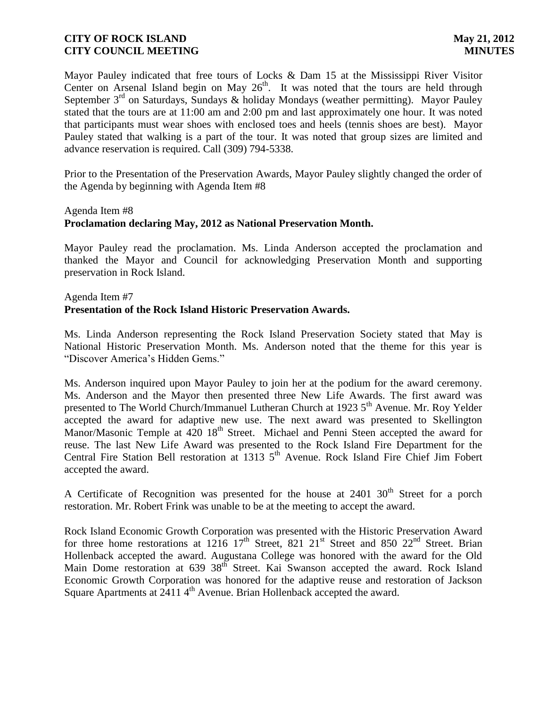Mayor Pauley indicated that free tours of Locks & Dam 15 at the Mississippi River Visitor Center on Arsenal Island begin on May  $26<sup>th</sup>$ . It was noted that the tours are held through September  $3<sup>rd</sup>$  on Saturdays, Sundays & holiday Mondays (weather permitting). Mayor Pauley stated that the tours are at 11:00 am and 2:00 pm and last approximately one hour. It was noted that participants must wear shoes with enclosed toes and heels (tennis shoes are best). Mayor Pauley stated that walking is a part of the tour. It was noted that group sizes are limited and advance reservation is required. Call (309) 794-5338.

Prior to the Presentation of the Preservation Awards, Mayor Pauley slightly changed the order of the Agenda by beginning with Agenda Item #8

#### Agenda Item #8

#### **Proclamation declaring May, 2012 as National Preservation Month.**

Mayor Pauley read the proclamation. Ms. Linda Anderson accepted the proclamation and thanked the Mayor and Council for acknowledging Preservation Month and supporting preservation in Rock Island.

# Agenda Item #7 **Presentation of the Rock Island Historic Preservation Awards.**

Ms. Linda Anderson representing the Rock Island Preservation Society stated that May is National Historic Preservation Month. Ms. Anderson noted that the theme for this year is "Discover America's Hidden Gems."

Ms. Anderson inquired upon Mayor Pauley to join her at the podium for the award ceremony. Ms. Anderson and the Mayor then presented three New Life Awards. The first award was presented to The World Church/Immanuel Lutheran Church at 1923 5<sup>th</sup> Avenue. Mr. Roy Yelder accepted the award for adaptive new use. The next award was presented to Skellington Manor/Masonic Temple at  $420 \, 18^{th}$  Street. Michael and Penni Steen accepted the award for reuse. The last New Life Award was presented to the Rock Island Fire Department for the Central Fire Station Bell restoration at 1313 5<sup>th</sup> Avenue. Rock Island Fire Chief Jim Fobert accepted the award.

A Certificate of Recognition was presented for the house at  $2401 \, 30^{th}$  Street for a porch restoration. Mr. Robert Frink was unable to be at the meeting to accept the award.

Rock Island Economic Growth Corporation was presented with the Historic Preservation Award for three home restorations at 1216  $17<sup>th</sup>$  Street, 821  $21<sup>st</sup>$  Street and 850  $22<sup>nd</sup>$  Street. Brian Hollenback accepted the award. Augustana College was honored with the award for the Old Main Dome restoration at 639 38<sup>th</sup> Street. Kai Swanson accepted the award. Rock Island Economic Growth Corporation was honored for the adaptive reuse and restoration of Jackson Square Apartments at 2411 4<sup>th</sup> Avenue. Brian Hollenback accepted the award.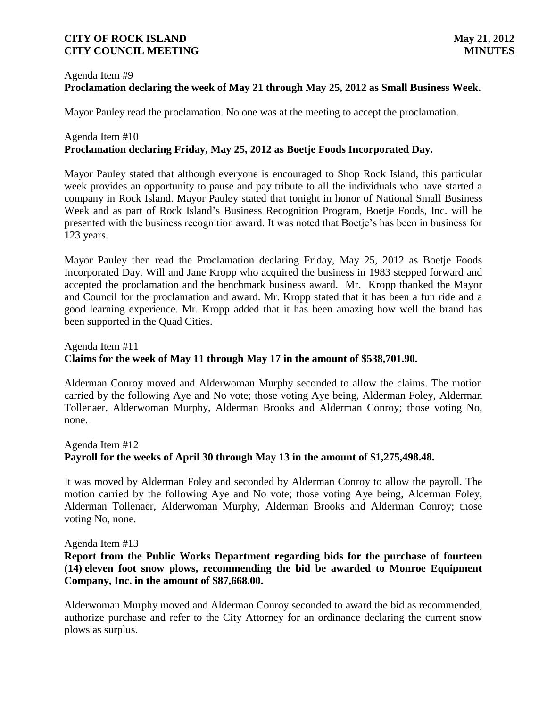# Agenda Item #9 **Proclamation declaring the week of May 21 through May 25, 2012 as Small Business Week.**

Mayor Pauley read the proclamation. No one was at the meeting to accept the proclamation.

# Agenda Item #10 **Proclamation declaring Friday, May 25, 2012 as Boetje Foods Incorporated Day.**

Mayor Pauley stated that although everyone is encouraged to Shop Rock Island, this particular week provides an opportunity to pause and pay tribute to all the individuals who have started a company in Rock Island. Mayor Pauley stated that tonight in honor of National Small Business Week and as part of Rock Island's Business Recognition Program, Boetje Foods, Inc. will be presented with the business recognition award. It was noted that Boetje's has been in business for 123 years.

Mayor Pauley then read the Proclamation declaring Friday, May 25, 2012 as Boetje Foods Incorporated Day. Will and Jane Kropp who acquired the business in 1983 stepped forward and accepted the proclamation and the benchmark business award. Mr. Kropp thanked the Mayor and Council for the proclamation and award. Mr. Kropp stated that it has been a fun ride and a good learning experience. Mr. Kropp added that it has been amazing how well the brand has been supported in the Quad Cities.

# Agenda Item #11 **Claims for the week of May 11 through May 17 in the amount of \$538,701.90.**

Alderman Conroy moved and Alderwoman Murphy seconded to allow the claims. The motion carried by the following Aye and No vote; those voting Aye being, Alderman Foley, Alderman Tollenaer, Alderwoman Murphy, Alderman Brooks and Alderman Conroy; those voting No, none.

# Agenda Item #12 **Payroll for the weeks of April 30 through May 13 in the amount of \$1,275,498.48.**

It was moved by Alderman Foley and seconded by Alderman Conroy to allow the payroll. The motion carried by the following Aye and No vote; those voting Aye being, Alderman Foley, Alderman Tollenaer, Alderwoman Murphy, Alderman Brooks and Alderman Conroy; those voting No, none.

#### Agenda Item #13

# **Report from the Public Works Department regarding bids for the purchase of fourteen (14) eleven foot snow plows, recommending the bid be awarded to Monroe Equipment Company, Inc. in the amount of \$87,668.00.**

Alderwoman Murphy moved and Alderman Conroy seconded to award the bid as recommended, authorize purchase and refer to the City Attorney for an ordinance declaring the current snow plows as surplus.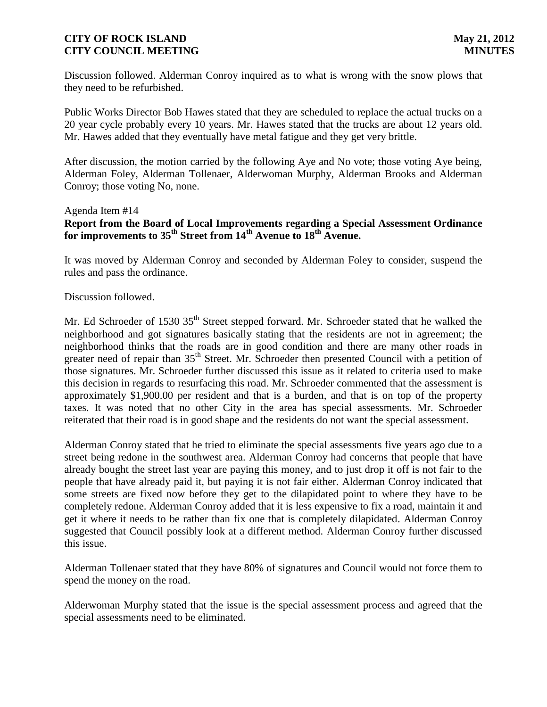Discussion followed. Alderman Conroy inquired as to what is wrong with the snow plows that they need to be refurbished.

Public Works Director Bob Hawes stated that they are scheduled to replace the actual trucks on a 20 year cycle probably every 10 years. Mr. Hawes stated that the trucks are about 12 years old. Mr. Hawes added that they eventually have metal fatigue and they get very brittle.

After discussion, the motion carried by the following Aye and No vote; those voting Aye being, Alderman Foley, Alderman Tollenaer, Alderwoman Murphy, Alderman Brooks and Alderman Conroy; those voting No, none.

#### Agenda Item #14

# **Report from the Board of Local Improvements regarding a Special Assessment Ordinance for improvements to 35th Street from 14th Avenue to 18th Avenue.**

It was moved by Alderman Conroy and seconded by Alderman Foley to consider, suspend the rules and pass the ordinance.

Discussion followed.

Mr. Ed Schroeder of 1530 35<sup>th</sup> Street stepped forward. Mr. Schroeder stated that he walked the neighborhood and got signatures basically stating that the residents are not in agreement; the neighborhood thinks that the roads are in good condition and there are many other roads in greater need of repair than 35<sup>th</sup> Street. Mr. Schroeder then presented Council with a petition of those signatures. Mr. Schroeder further discussed this issue as it related to criteria used to make this decision in regards to resurfacing this road. Mr. Schroeder commented that the assessment is approximately \$1,900.00 per resident and that is a burden, and that is on top of the property taxes. It was noted that no other City in the area has special assessments. Mr. Schroeder reiterated that their road is in good shape and the residents do not want the special assessment.

Alderman Conroy stated that he tried to eliminate the special assessments five years ago due to a street being redone in the southwest area. Alderman Conroy had concerns that people that have already bought the street last year are paying this money, and to just drop it off is not fair to the people that have already paid it, but paying it is not fair either. Alderman Conroy indicated that some streets are fixed now before they get to the dilapidated point to where they have to be completely redone. Alderman Conroy added that it is less expensive to fix a road, maintain it and get it where it needs to be rather than fix one that is completely dilapidated. Alderman Conroy suggested that Council possibly look at a different method. Alderman Conroy further discussed this issue.

Alderman Tollenaer stated that they have 80% of signatures and Council would not force them to spend the money on the road.

Alderwoman Murphy stated that the issue is the special assessment process and agreed that the special assessments need to be eliminated.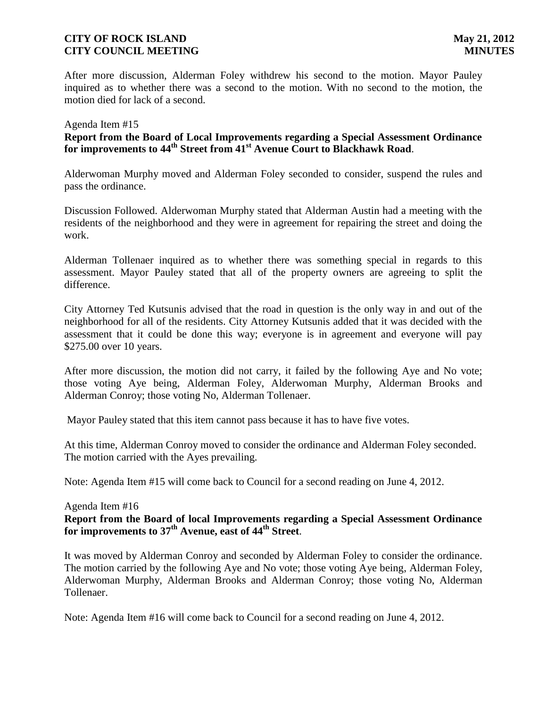After more discussion, Alderman Foley withdrew his second to the motion. Mayor Pauley inquired as to whether there was a second to the motion. With no second to the motion, the motion died for lack of a second.

#### Agenda Item #15

# **Report from the Board of Local Improvements regarding a Special Assessment Ordinance for improvements to 44th Street from 41st Avenue Court to Blackhawk Road**.

Alderwoman Murphy moved and Alderman Foley seconded to consider, suspend the rules and pass the ordinance.

Discussion Followed. Alderwoman Murphy stated that Alderman Austin had a meeting with the residents of the neighborhood and they were in agreement for repairing the street and doing the work.

Alderman Tollenaer inquired as to whether there was something special in regards to this assessment. Mayor Pauley stated that all of the property owners are agreeing to split the difference.

City Attorney Ted Kutsunis advised that the road in question is the only way in and out of the neighborhood for all of the residents. City Attorney Kutsunis added that it was decided with the assessment that it could be done this way; everyone is in agreement and everyone will pay \$275.00 over 10 years.

After more discussion, the motion did not carry, it failed by the following Aye and No vote; those voting Aye being, Alderman Foley, Alderwoman Murphy, Alderman Brooks and Alderman Conroy; those voting No, Alderman Tollenaer.

Mayor Pauley stated that this item cannot pass because it has to have five votes.

At this time, Alderman Conroy moved to consider the ordinance and Alderman Foley seconded. The motion carried with the Ayes prevailing.

Note: Agenda Item #15 will come back to Council for a second reading on June 4, 2012.

#### Agenda Item #16 **Report from the Board of local Improvements regarding a Special Assessment Ordinance for improvements to 37th Avenue, east of 44th Street**.

It was moved by Alderman Conroy and seconded by Alderman Foley to consider the ordinance. The motion carried by the following Aye and No vote; those voting Aye being, Alderman Foley, Alderwoman Murphy, Alderman Brooks and Alderman Conroy; those voting No, Alderman Tollenaer.

Note: Agenda Item #16 will come back to Council for a second reading on June 4, 2012.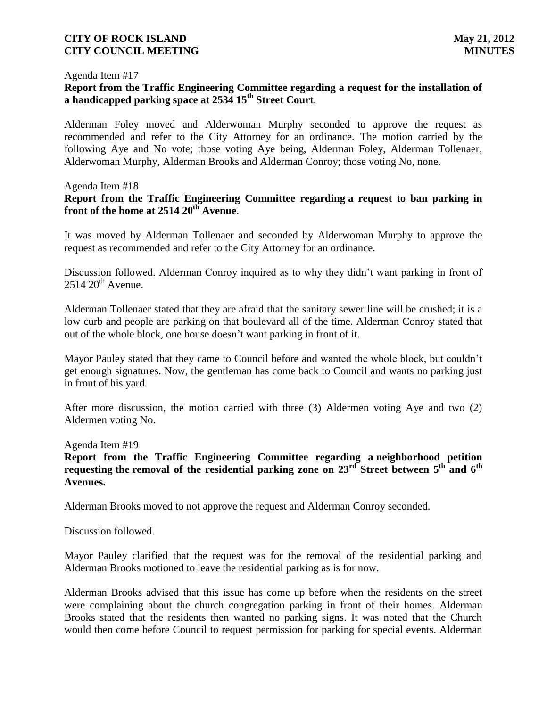#### Agenda Item #17

### **Report from the Traffic Engineering Committee regarding a request for the installation of a handicapped parking space at 2534 15th Street Court**.

Alderman Foley moved and Alderwoman Murphy seconded to approve the request as recommended and refer to the City Attorney for an ordinance. The motion carried by the following Aye and No vote; those voting Aye being, Alderman Foley, Alderman Tollenaer, Alderwoman Murphy, Alderman Brooks and Alderman Conroy; those voting No, none.

#### Agenda Item #18

#### **Report from the Traffic Engineering Committee regarding a request to ban parking in front of the home at 2514 20th Avenue**.

It was moved by Alderman Tollenaer and seconded by Alderwoman Murphy to approve the request as recommended and refer to the City Attorney for an ordinance.

Discussion followed. Alderman Conroy inquired as to why they didn't want parking in front of  $2514 20$ <sup>th</sup> Avenue.

Alderman Tollenaer stated that they are afraid that the sanitary sewer line will be crushed; it is a low curb and people are parking on that boulevard all of the time. Alderman Conroy stated that out of the whole block, one house doesn't want parking in front of it.

Mayor Pauley stated that they came to Council before and wanted the whole block, but couldn't get enough signatures. Now, the gentleman has come back to Council and wants no parking just in front of his yard.

After more discussion, the motion carried with three (3) Aldermen voting Aye and two (2) Aldermen voting No.

#### Agenda Item #19

**Report from the Traffic Engineering Committee regarding a neighborhood petition**  requesting the removal of the residential parking zone on 23<sup>rd</sup> Street between 5<sup>th</sup> and 6<sup>th</sup> **Avenues.**

Alderman Brooks moved to not approve the request and Alderman Conroy seconded.

Discussion followed.

Mayor Pauley clarified that the request was for the removal of the residential parking and Alderman Brooks motioned to leave the residential parking as is for now.

Alderman Brooks advised that this issue has come up before when the residents on the street were complaining about the church congregation parking in front of their homes. Alderman Brooks stated that the residents then wanted no parking signs. It was noted that the Church would then come before Council to request permission for parking for special events. Alderman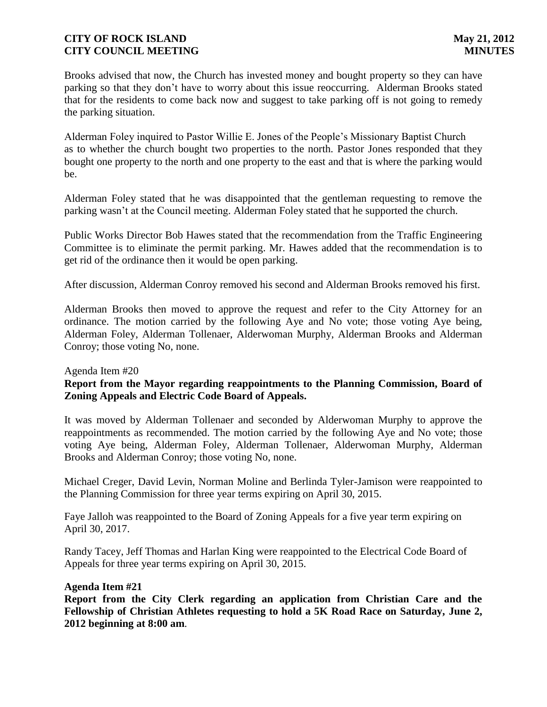Brooks advised that now, the Church has invested money and bought property so they can have parking so that they don't have to worry about this issue reoccurring. Alderman Brooks stated that for the residents to come back now and suggest to take parking off is not going to remedy the parking situation.

Alderman Foley inquired to Pastor Willie E. Jones of the People's Missionary Baptist Church as to whether the church bought two properties to the north. Pastor Jones responded that they bought one property to the north and one property to the east and that is where the parking would be.

Alderman Foley stated that he was disappointed that the gentleman requesting to remove the parking wasn't at the Council meeting. Alderman Foley stated that he supported the church.

Public Works Director Bob Hawes stated that the recommendation from the Traffic Engineering Committee is to eliminate the permit parking. Mr. Hawes added that the recommendation is to get rid of the ordinance then it would be open parking.

After discussion, Alderman Conroy removed his second and Alderman Brooks removed his first.

Alderman Brooks then moved to approve the request and refer to the City Attorney for an ordinance. The motion carried by the following Aye and No vote; those voting Aye being, Alderman Foley, Alderman Tollenaer, Alderwoman Murphy, Alderman Brooks and Alderman Conroy; those voting No, none.

#### Agenda Item #20

# **Report from the Mayor regarding reappointments to the Planning Commission, Board of Zoning Appeals and Electric Code Board of Appeals.**

It was moved by Alderman Tollenaer and seconded by Alderwoman Murphy to approve the reappointments as recommended. The motion carried by the following Aye and No vote; those voting Aye being, Alderman Foley, Alderman Tollenaer, Alderwoman Murphy, Alderman Brooks and Alderman Conroy; those voting No, none.

 Michael Creger, David Levin, Norman Moline and Berlinda Tyler-Jamison were reappointed to the Planning Commission for three year terms expiring on April 30, 2015.

 Faye Jalloh was reappointed to the Board of Zoning Appeals for a five year term expiring on April 30, 2017.

Randy Tacey, Jeff Thomas and Harlan King were reappointed to the Electrical Code Board of Appeals for three year terms expiring on April 30, 2015.

#### **Agenda Item #21**

**Report from the City Clerk regarding an application from Christian Care and the Fellowship of Christian Athletes requesting to hold a 5K Road Race on Saturday, June 2, 2012 beginning at 8:00 am**.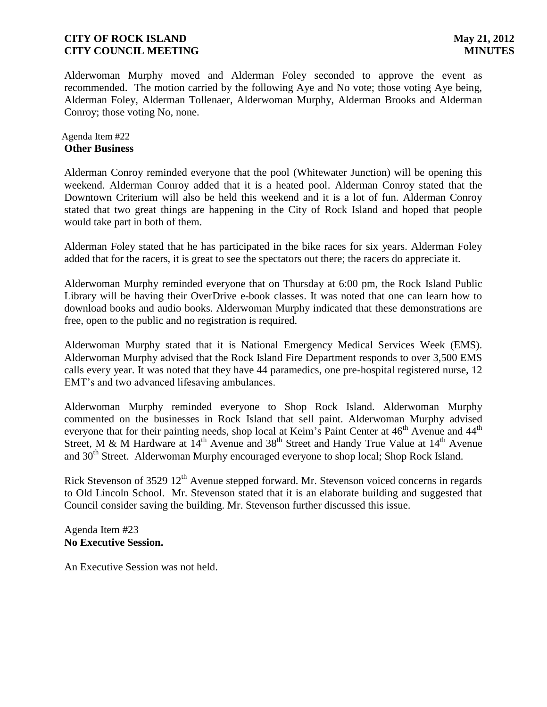Alderwoman Murphy moved and Alderman Foley seconded to approve the event as recommended. The motion carried by the following Aye and No vote; those voting Aye being, Alderman Foley, Alderman Tollenaer, Alderwoman Murphy, Alderman Brooks and Alderman Conroy; those voting No, none.

#### Agenda Item #22 **Other Business**

Alderman Conroy reminded everyone that the pool (Whitewater Junction) will be opening this weekend. Alderman Conroy added that it is a heated pool. Alderman Conroy stated that the Downtown Criterium will also be held this weekend and it is a lot of fun. Alderman Conroy stated that two great things are happening in the City of Rock Island and hoped that people would take part in both of them.

Alderman Foley stated that he has participated in the bike races for six years. Alderman Foley added that for the racers, it is great to see the spectators out there; the racers do appreciate it.

Alderwoman Murphy reminded everyone that on Thursday at 6:00 pm, the Rock Island Public Library will be having their OverDrive e-book classes. It was noted that one can learn how to download books and audio books. Alderwoman Murphy indicated that these demonstrations are free, open to the public and no registration is required.

Alderwoman Murphy stated that it is National Emergency Medical Services Week (EMS). Alderwoman Murphy advised that the Rock Island Fire Department responds to over 3,500 EMS calls every year. It was noted that they have 44 paramedics, one pre-hospital registered nurse, 12 EMT's and two advanced lifesaving ambulances.

Alderwoman Murphy reminded everyone to Shop Rock Island. Alderwoman Murphy commented on the businesses in Rock Island that sell paint. Alderwoman Murphy advised everyone that for their painting needs, shop local at Keim's Paint Center at 46<sup>th</sup> Avenue and 44<sup>th</sup> Street, M & M Hardware at  $14<sup>th</sup>$  Avenue and 38<sup>th</sup> Street and Handy True Value at  $14<sup>th</sup>$  Avenue and 30<sup>th</sup> Street. Alderwoman Murphy encouraged everyone to shop local; Shop Rock Island.

Rick Stevenson of 3529  $12<sup>th</sup>$  Avenue stepped forward. Mr. Stevenson voiced concerns in regards to Old Lincoln School. Mr. Stevenson stated that it is an elaborate building and suggested that Council consider saving the building. Mr. Stevenson further discussed this issue.

#### Agenda Item #23 **No Executive Session.**

An Executive Session was not held.